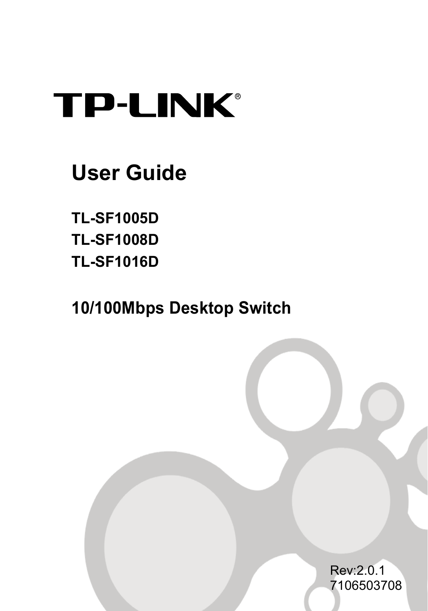## **TP-LINK®**

### **User Guide**

**TL-SF1005D TL-SF1008D TL-SF1016D** 

**10/100Mbps Desktop Switch**

Rev:2.0.1 7106503708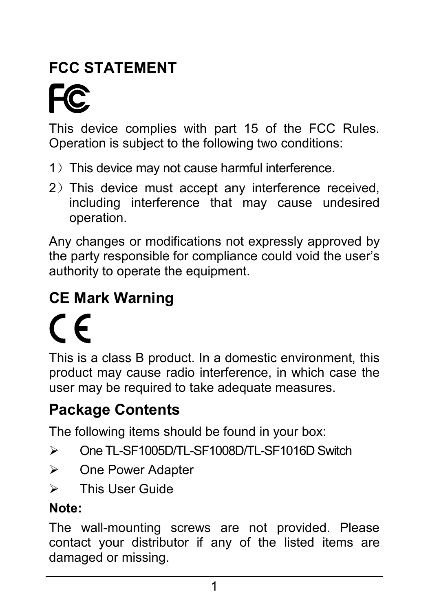### **FCC STATEMENT**

This device complies with part 15 of the FCC Rules. Operation is subject to the following two conditions:

- 1) This device may not cause harmful interference.
- 2) This device must accept any interference received. including interference that may cause undesired operation.

Any changes or modifications not expressly approved by the party responsible for compliance could void the user's authority to operate the equipment.

### **CE Mark Warning**

# $\epsilon$

This is a class B product. In a domestic environment, this product may cause radio interference, in which case the user may be required to take adequate measures.

### **Package Contents**

The following items should be found in your box:

- ¾ One TL-SF1005D/TL-SF1008D/TL-SF1016D Switch
- ¾ One Power Adapter
- ¾ This User Guide

#### **Note:**

The wall-mounting screws are not provided. Please contact your distributor if any of the listed items are damaged or missing.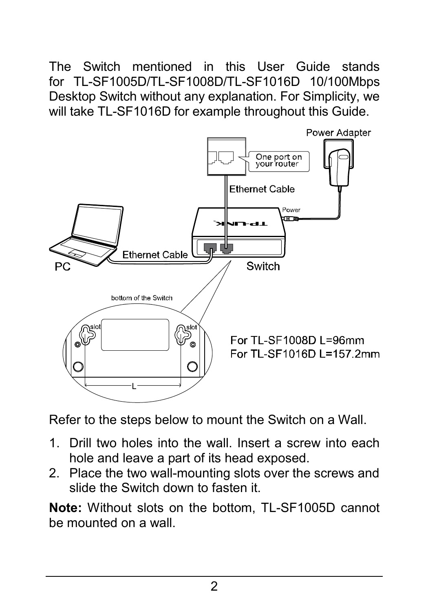The Switch mentioned in this User Guide stands for TL-SF1005D/TL-SF1008D/TL-SF1016D 10/100Mbps Desktop Switch without any explanation. For Simplicity, we will take TL-SF1016D for example throughout this Guide.



Refer to the steps below to mount the Switch on a Wall.

- 1. Drill two holes into the wall. Insert a screw into each hole and leave a part of its head exposed.
- 2. Place the two wall-mounting slots over the screws and slide the Switch down to fasten it.

**Note:** Without slots on the bottom, TL-SF1005D cannot be mounted on a wall.